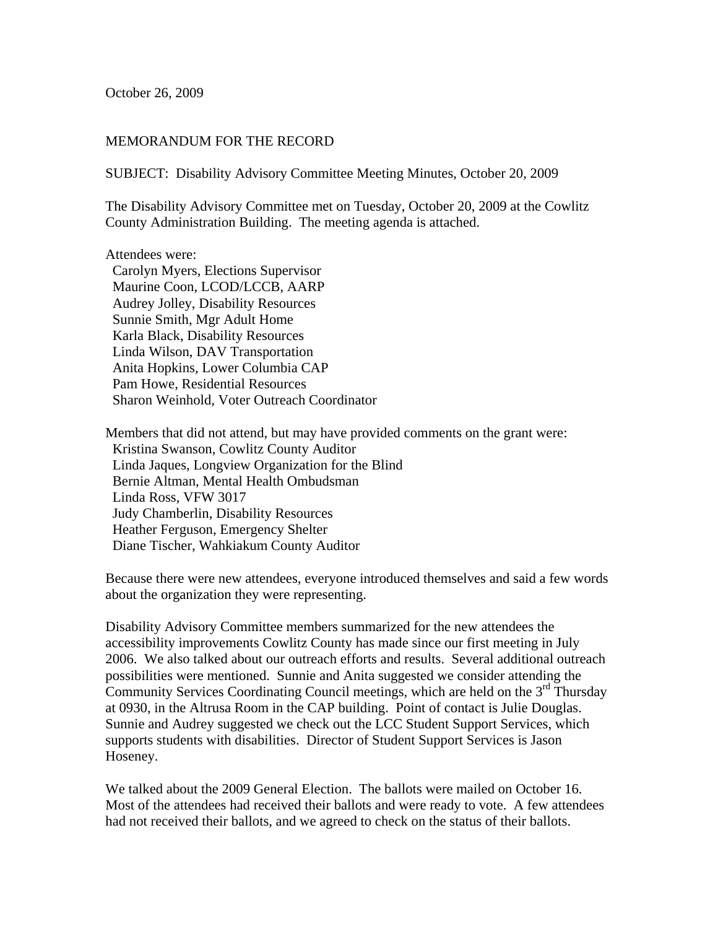October 26, 2009

## MEMORANDUM FOR THE RECORD

SUBJECT: Disability Advisory Committee Meeting Minutes, October 20, 2009

The Disability Advisory Committee met on Tuesday, October 20, 2009 at the Cowlitz County Administration Building. The meeting agenda is attached.

## Attendees were:

 Carolyn Myers, Elections Supervisor Maurine Coon, LCOD/LCCB, AARP Audrey Jolley, Disability Resources Sunnie Smith, Mgr Adult Home Karla Black, Disability Resources Linda Wilson, DAV Transportation Anita Hopkins, Lower Columbia CAP Pam Howe, Residential Resources Sharon Weinhold, Voter Outreach Coordinator

Members that did not attend, but may have provided comments on the grant were: Kristina Swanson, Cowlitz County Auditor Linda Jaques, Longview Organization for the Blind Bernie Altman, Mental Health Ombudsman Linda Ross, VFW 3017 Judy Chamberlin, Disability Resources Heather Ferguson, Emergency Shelter Diane Tischer, Wahkiakum County Auditor

Because there were new attendees, everyone introduced themselves and said a few words about the organization they were representing.

Disability Advisory Committee members summarized for the new attendees the accessibility improvements Cowlitz County has made since our first meeting in July 2006. We also talked about our outreach efforts and results. Several additional outreach possibilities were mentioned. Sunnie and Anita suggested we consider attending the Community Services Coordinating Council meetings, which are held on the  $3<sup>rd</sup>$  Thursday at 0930, in the Altrusa Room in the CAP building. Point of contact is Julie Douglas. Sunnie and Audrey suggested we check out the LCC Student Support Services, which supports students with disabilities. Director of Student Support Services is Jason Hoseney.

We talked about the 2009 General Election. The ballots were mailed on October 16. Most of the attendees had received their ballots and were ready to vote. A few attendees had not received their ballots, and we agreed to check on the status of their ballots.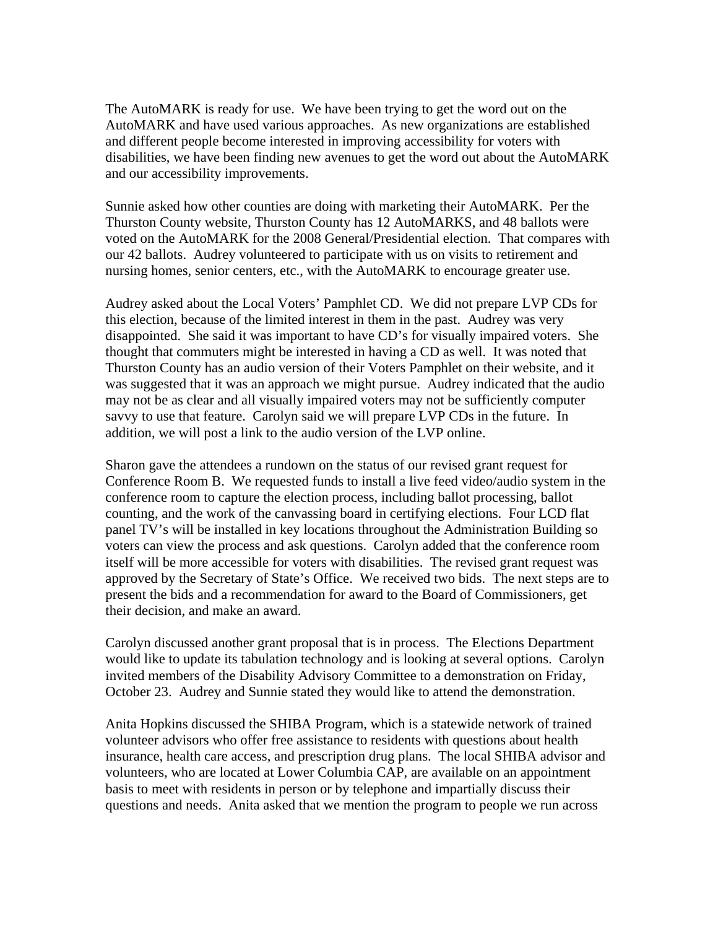The AutoMARK is ready for use. We have been trying to get the word out on the AutoMARK and have used various approaches. As new organizations are established and different people become interested in improving accessibility for voters with disabilities, we have been finding new avenues to get the word out about the AutoMARK and our accessibility improvements.

Sunnie asked how other counties are doing with marketing their AutoMARK. Per the Thurston County website, Thurston County has 12 AutoMARKS, and 48 ballots were voted on the AutoMARK for the 2008 General/Presidential election. That compares with our 42 ballots. Audrey volunteered to participate with us on visits to retirement and nursing homes, senior centers, etc., with the AutoMARK to encourage greater use.

Audrey asked about the Local Voters' Pamphlet CD. We did not prepare LVP CDs for this election, because of the limited interest in them in the past. Audrey was very disappointed. She said it was important to have CD's for visually impaired voters. She thought that commuters might be interested in having a CD as well. It was noted that Thurston County has an audio version of their Voters Pamphlet on their website, and it was suggested that it was an approach we might pursue. Audrey indicated that the audio may not be as clear and all visually impaired voters may not be sufficiently computer savvy to use that feature. Carolyn said we will prepare LVP CDs in the future. In addition, we will post a link to the audio version of the LVP online.

Sharon gave the attendees a rundown on the status of our revised grant request for Conference Room B. We requested funds to install a live feed video/audio system in the conference room to capture the election process, including ballot processing, ballot counting, and the work of the canvassing board in certifying elections. Four LCD flat panel TV's will be installed in key locations throughout the Administration Building so voters can view the process and ask questions. Carolyn added that the conference room itself will be more accessible for voters with disabilities. The revised grant request was approved by the Secretary of State's Office. We received two bids. The next steps are to present the bids and a recommendation for award to the Board of Commissioners, get their decision, and make an award.

Carolyn discussed another grant proposal that is in process. The Elections Department would like to update its tabulation technology and is looking at several options. Carolyn invited members of the Disability Advisory Committee to a demonstration on Friday, October 23. Audrey and Sunnie stated they would like to attend the demonstration.

Anita Hopkins discussed the SHIBA Program, which is a statewide network of trained volunteer advisors who offer free assistance to residents with questions about health insurance, health care access, and prescription drug plans. The local SHIBA advisor and volunteers, who are located at Lower Columbia CAP, are available on an appointment basis to meet with residents in person or by telephone and impartially discuss their questions and needs. Anita asked that we mention the program to people we run across